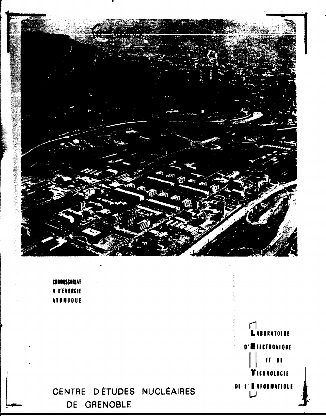

**COMMISSARIAT** A L'ENERGIE **ATOMIQUE** 

# CENTRE D'ÉTUDES NUCLÉAIRES DE GRENOBLE

r LABORATOIRE **D'ELECTRONIQUE**  $F = 0$ **TECHNOLOGIE** DE L'ENFORMATIOUE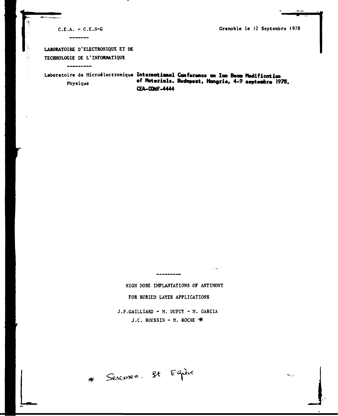**CE.A . -** C.E.N-G **Grenoble l e 12 Septembre 1978** 

**الاست** 

 $\overline{\phantom{a}}$ 

 $\widehat{\beta}_{\alpha}$ 

**LABORATOIRE D'ELECTRONIQUE ET DE TECHNOLOGIE DE L'INFORMATIQUE** 

-----

Laboratoire de Microélectronique **International Conference on Ion Beoa Nodificotion p hysiqu <sup>e</sup> of Moteriol». Budapest, Hongrie, 4-9 septeabre 1978. CEA-CONF-4444** 

> **HIGH DOSE IMPLANTATIONS OF ANTIMONY FOR BURIED LAYER APPLICATIONS**  J.P.GAILLIARD - M. DUPUY - M. GARCIA J.C. ROUSSIN - M. ROCHE  $\clubsuit$

---------

\* Sescosem. St Equève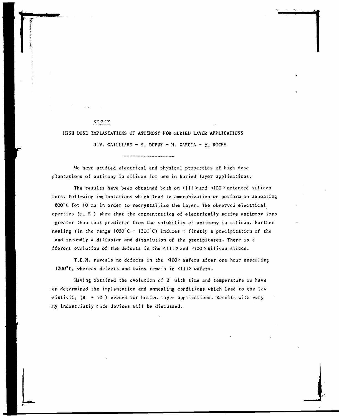**RESr-ÎK** 

**HIGH DOSE IMPLANTATION'S OF ANTIMONY FOR SURIED LAYER APPLICATIONS** 

**J.P. GAILLIARD - M. DUPUY - M. GARCIA - M. ROCHE** 

------------

**We have studied electrical and physical properties of high dose plantations of antimony in silicon for use in buried layer applications.** 

The results have been obtained both on <III > and <IOO > oriented silicon **fers. Following implantations which lead to amorphization we perform an annealing 600<sup>8</sup> C for 10 mn in order to recrystallize the layer. The observed electrical**  operties ( $\mu$ , R) show that the concentration of electrically active antimeny ions **greater than that predicted from the solubility of antimony in silicon. Further nealing (in the range 1050\*C - I200'C) induces : firstly a precipitation of the and secondly a diffusion and dissolution of the precipitates. There is a fferent evolution of the defects in the <lll >and <I00>silicon slices.** 

**T.E.M. reveals no defects in the <100> wafers after one hour annealing 1200\*C, whereas defects and twins remain in <lll> wafers.** 

**Having obtained the evolution of R with time and température ve have ien determined the implantation and annealing conditions which lead to the low sistivity (R » 10 ) needed for buried layer applications. Results with very ;ny industriatly made devices will be discussed.**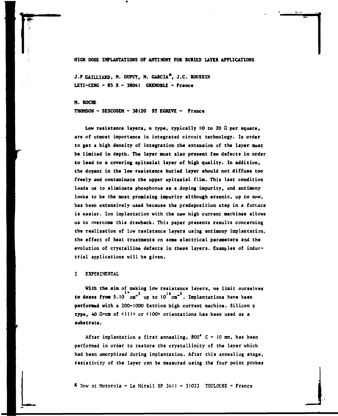## **HIGH DOSE IMPLANTATIONS OF AMTi:«WT FOR BURIED LAYER APPLICATIONS**

**J.P GAILLIARD, M. DUPUY, M. GARCIA\*, J.C. ROUSSIN LETI-CENC - 85 X - 38041 GRENOBLE - France** 

**M. ROCHE** 

THOMSON - SESCOSEM - 38120 ST EGREVE - France

**Low resistance layers, n type, typically 10 to 20 Q per square, are of utmost importance in integrated circuit technology. In order to get a high density of integration the extension of the layer must be limited in depth. The layer must also present few defects in order to lead to a covering epitaxial layer of high quality. In addition, the dopant in the low resistance buried layer should not diffuse too freely and contaminate the upper epitaxial film. This last condition leads us to eliminate phosphorus as a doping impurity, and antimony looks to be the most promising impurity although arsenic, up to now, has been extensively used because the predeposition step in a furnace is easier. Ion implantation with the new high current machines allows us to overcome this drawback. This paper presents results concerning the realization of low resistance layers using antimony implantation, the effect of heat treatments on some electrical parameters and the evolution of crystalline defects in these layers. Examples of industrial applications will be given.** 

## **I EXPERIMENTAL**

**With the aim of making low resistance layers, we limit ourselves to doses from 5.10 cm" up to 10 cm' , Implantations have been performed with a 200-1000 Extrion high current machine. Silicon p**  type. 40  $\Omega$ -cm of <111> or <100> orientations has been used as a **substrate.** 

**After implantation a first annealing, 800\* C - 10 am, has been performed in order to restore the crystailinity of the layer which**  had been amorphized during implantation. After this annealing stage, **resistivity of the layer can be measured using the four point probes** 

**\* Sow at Motorola - Le Mirail BP 3411 - 31023 TOULOUSE - France**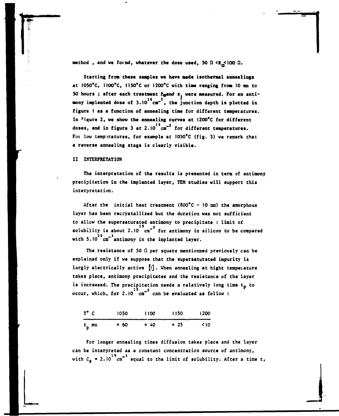method, and we found, whatever the dose used, 50  $\Omega$  <R<sub>n</sub><100  $\Omega$ .

**Starting from these samples we have made isothermal annealings at 1050\*C, 1100'C, IISO'C or I200\*C with time ranging from 10 am to**  50 hours ; after each treatment R<sub>ap</sub>and x<sub>;</sub> were measured. For an anti**mony implanted dose of 3.10 cm- , the junction depth is plotted in figure I as a function of annealing time for different temperatures. In figure 2, we show the annealing curves at 1200\*C for different doses, and in figure 3 at 2.10 cm" for different temperatures.**  For low temperatures, for example at 1050°C (fig. 3) we remark that **a reverse annealing stage is clearly visible.** 

## **II INTERPRETATION**

**The interpretation of the results is presented in term of antimony precipitation in the implanted layer, TEM studies will support this interpretation.** 

**After the initial heat treatment (800°C - 10 an) the amorphous layer has been recryscallized but the duration was not sufficient to allow che supersaturated antimony to precipitate : limit of**  solubility is about 2.10<sup>1</sup> cm<sup>-3</sup> for antimony in silicon to be compared with 5.10<sup>20</sup> cm<sup>-3</sup> antimony in the implanted layer.

The resistance of 50  $\Omega$  per square mentionned previously can be **explained only if we suppose Chat the supersaturated impurity is largly electrically active fl] . When annealing at hight temperature takes place, antimony precipitates and che resistance of che layer**  is increased. The precipitation needs a relatively long time t<sub>p</sub> to  $\frac{1}{2}$  and to evaluated as follow  $\frac{1}{2}$ **occur, which, for 2.10 cm can be evaluated as follow :** 

| $T^{\bullet}$ C | 1050 | 1100         | 1150         | <b>1200</b> |
|-----------------|------|--------------|--------------|-------------|
| $t_{\rm p}$ mn  | 260  | $\approx 40$ | $\approx 25$ | - < 10      |

**For longer annealing cimes diffusion cakes place and che layer can be interpreted as a constant concentration source of antimony,**   $19 - 3$ **wich C <sup>s</sup> • 2.10 cm equal Co che limic of solubilicy. Afcer a cime t,**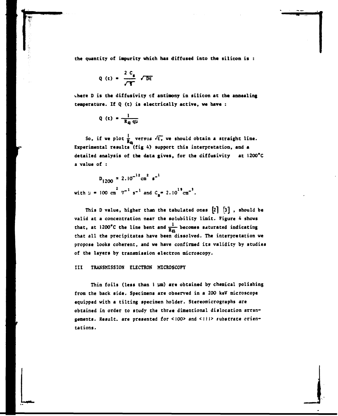**the quantity of impurity which has diffused into the silicon is :** 

$$
Q(t) = \frac{2 C_s}{\sqrt{T}} \sqrt{Dt}
$$

**where D is the diffusivity cf antimony in silicon at the annealing temperature. If Q (t) is electrically active, we have :** 

$$
Q(t) = \frac{1}{R_q q\mu}
$$

So, if we plot  $\frac{1}{R_{\alpha}}$  versus  $\sqrt{t}$ , we should obtain a straight line. **Experimental results (fig 4) support this interpretation, and a detailed analysis of the data gives, for the diffusivity at I200\*C a value of :** 

**<sup>D</sup> I200** *"<sup>2</sup> - ] 0 m \**   $2 \pi^{-1}$   $e^{-1}$  and  $2 \pi 2 \pi^2$ **with y • 100 cm 7 s" and C<sup>s</sup> « 2.10 cm .** 

**This D value, higher than the tabulated ones [2} [3] , should be**  valid at a concentration near the solubility limit. Figure 4 shows that, at 1200<sup>°</sup>C the line bent and  $\frac{1}{R_{\overline{n}}}$  becomes saturated indicating **that all the precipitates have been dissolved. The interpretation we propose looks coherent, and we have confirmed its validity by studies of the layers by transmission electron microscopy.** 

## **Ill TRANSMISSION ELECTRON MICROSCOPY**

**Thin foils (less than 1 ym) are obtained by chemical polishing from the back side. Specimens are observed in a 200 keV microscope equipped with a tilting specimen holder. Stereomicrographs are**  obtained in order to study the three dimentional dislocation arran**gements. Result, are presented for <IOO> and <lll> fubstrate orientations.**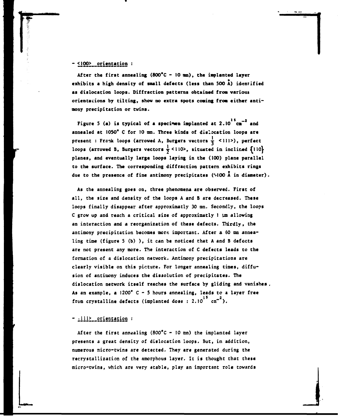# **- <]00> orientation :**

**^** 

After the first annealing (800°C - 10 mm), the implanted layer **exhibits a high density of small defects (less than 500 A) idenrified as dislocation loops. Diffraction patterns obtained from various orientations by tilting, show no extra spots coming from cither antimony precipitation or twins.** 

Figure 5 (a) is typical of a specimen implanted at 2.10<sup>15</sup>cm<sup>-2</sup> and **annealed at 1050\* C for 10 ran. Three kinds of dislocation loops are present : Frank loops (arrowed A, Burgers vectors**  $\frac{1}{3}$  **<111>), perfect** loops (arrowed B, Burgers vectors  $\frac{1}{2}$  <110>, situated in inclined  $\{110\}$ **planes, and eventually large loops laying in the (100) plane parallel to the surface. The corresponding diffraction pattern exhibits rings due to the presence of fine antimony precipitates (MOO A in diameter).** 

**As the annealing goes on, three phenomena are observed. First of all, the size and density of the loops A and B are decreased. These loops finally disappear after approximatly 30 mn. Secondly, the loops C grow up and reach a critical size of approximatly I** *\m* **allowing an interaction and a reorganization of these defects. Thirdly, the**  antimony precipitation becomes more important. After a 60 mm annea**ling time (figure 5 (b) ) , it can be noticed that A and B defects are not present any more. The interaction of C defects leads to the formation of a dislocation network. Antimony precipitations are clearly visible on this picture. For longer annealing times, diffusion of antimony induces the dissolution of precipitates. The dislocation network itself reaches the surface by gliding and vanishes As an example, a 1200\* C - 5 hours annealing, leads to a layer free**  from crystalline defects (implanted dose : 2.10<sup>15</sup> cm<sup>-2</sup>).

# - 1112\_orientation :

**After the first annealing (800°C - 10 mn) the implanted layer presents a great density of dislocation loops. But, in addition, numerous micro-twins are detected. They are generated during the «crystallization of the amorphous layer. It is thought that these micro-twins, which are very stable, play an important role towards** 

**J**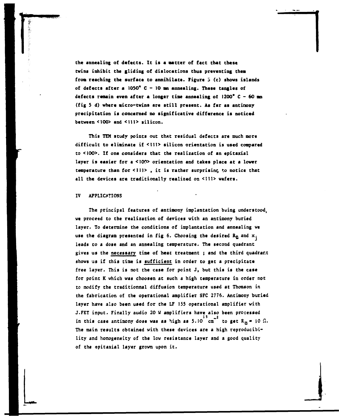**the annealing of defects. It is a natter of fact that these twins inhibit the gliding of dislocations thus preventing them from reaching the surface to annihilate. Figure 5 (c) shows islands of defects after a 1050\* C - 10 an annealing. These tangles of defects remain even after a longer time annealing of 1200\* C - 60 mn (fig S d) where micro-twins are still present. As far as antinony precipitation is concerned no significative difference is noticed between <I00> and <III> silicon.** 

**This TEM study points out that residual defects are much more difficult to eliminate if <1II> silicon orientation is used compared to <IOO>. If one considers that the realization of an epitaxial layer is easier for a <100> orientation and takes place at a lower temperature than for <111> , it is rather surprising to notice that all the devices are traditionally realized on <I11> wafers.** 

## **IV APPLICATIONS**

**The principal features of antimony implantation bsing understood, ve proceed to the realization of devices with an antimony buried layer. To determine the conditions of implantation and annealing ve**  use the diagram presented in fig 6. Choosing the desired R<sub>Q</sub> and x<sub>i</sub> **leads co a dose and an annealing temperature. The second quadrant gives us the necessary time of heac treatment ; and the third quadrar.t shows us if this time is sufficient in order to get a precipitate free layer. This is not the case for point J, but this is the case for point K which was choosen at such a high temperature in order not to modify the traditionnal diffusion temperature used at Thomson in the fabrication of the operational amplifier SFC 2776. Antimony buried layer have also been used for che LF 155 operational amplifier with J.FET input. Finally audio 20 W amplifiers have also been processed**  in this case antimony dose was as high as  $5.10^{10} \text{cm}^2$  to get  $R_{\text{m}} = 10 \Omega$ . **The main results obtained with these devices are a high reproducibility and homogeneity of the low resistance layer and a good quality of the epitaxial layer grown upon it.**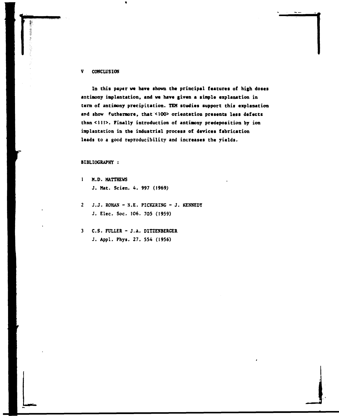#### **V CONCLUSION**

**In this paper we have shown the principal features of high doses antimony implantation, and we have given a simple explanation in term of antimony precipitation. TEH studies support this explanation and show futhermore, that <I00> orientation presents less defects than <1II>. Finally introduction of antimony predeposition by ion implantation in the industrial process of devices fabrication leads to a good reproducibility and increases the yields.** 

## **BIBLIOGRAPHY :**

- **1 M.D. MATTHEWS J. Mat. Scien. 4. 997 (1969)**
- **2 J.J. ROHAN N.E. PICKERING J. KENNEDY J. Elec. Soc. 106. 705 (1959)**
- **3 C.S. FULLER J.A. DITZENBERGER J. Appl. Phys. 27. 554 (1956)**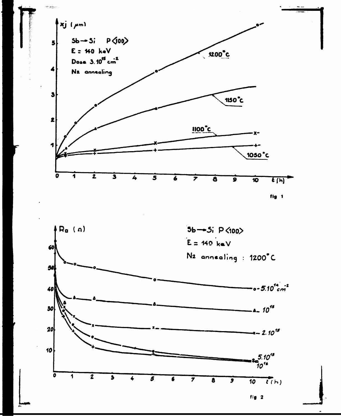

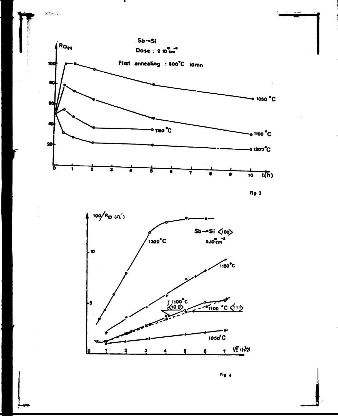

1.512 1999

fig 4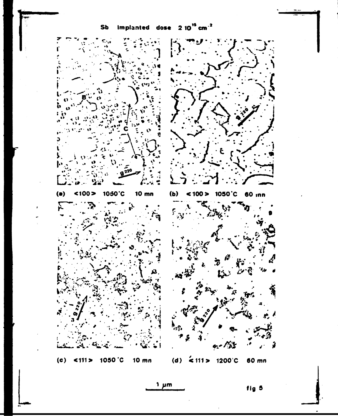